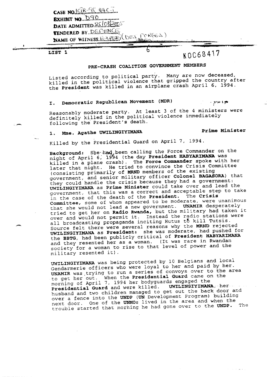| EXHIBIT NO. DAO<br>DATE ADMITTED & 6/08/2005 |  |
|----------------------------------------------|--|
| TENDERED BY DEPENCE.                         |  |
|                                              |  |
|                                              |  |
| NAME OF WITNESS. E. PERICES PORGES)          |  |

 $LIST 1$ 

|

## ~,0C~68417

### PRE-CRASH COALITION GOVERNMENT MEMBERS

Listed according to political party. Many are now deceased killed in the political violence that gripped the country  $\frac{1}{2}$ the President was killed in an airplane crash April 6, 1994.

I. Democratic Republican Movement (MDR) ...,,,,,,,,,,,,

Reasonably moderate party. At least 3 of the 4 ministers were definiteiy killed in the political violence immediately following the President's death.

### 1. Mme. Agathe UWILINGIYIMANA Prime Minister

Killed by the Presidential Guard on April 7, 1994.

Background: She-had, been calling the Force Commander on the night of April 6, 1994 (the day President HABYARIMANA was killed in a plane crash). The Force Commander spoke with her later that night. He tried to convince the Crisis Committee (consisting primarily of MRND members of the existing government, and senior military officer Colonel BAGASORA) that they could handle the crisis because they had a government: UWILINGIYIMANA as Prime Minister could take over and lead the government, that this was a correct and acceptable step to take in the case of the death of the President. The Crisis Committee, some of whom appeared to be moderate, were unanimous that she would not lead a new government. UNAMIR desperately tried to get her on Radio Rwanda, but the military had taken it over and would not permit if. Instead the radio stations were all broadcasting propaganda inciting Hutus t5 kill Tutsis. Source felt there were several reasons why the MRND rejected UWILINGIYIMANA as President: she was moderate, had pushed for the BBTG, had been publicly critical of President HABYARIMANA and they resented her as a woman. (It was rare in Rwandan society for a woman to rise to that level of power and the military resented it).

UWILINGIYIMANA was being protected by i0 Belgians and local Gendarmerie officers who were loyal to her and paid by ber. UNAMIR was,trying to run a series of convoys over fo the area to get her out. When the Presidential Guard came on the morning of April 7, 1994 her bodyguards engaged the Presidential Guard and were killed. UWILINGIYIMANA, her .... husband and two children managed to get out the back door and over a fence into the UNDP (UN Development Program) building<br>next door. One of the UNMOs lived in the area and when the next door. One of the UNMOs lived 1,000 and the INDP. trouble started that morning he had gone over to the  $\sum_{i=1}^N$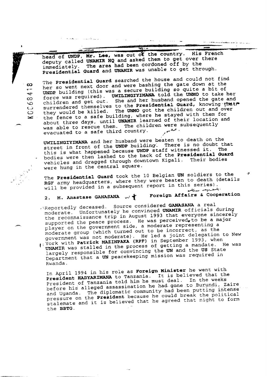head of UNDP, Mr. Lee, was out of the country. His French<br>deputy called UNAMIR HQ and asked them to get over there immediately. The area had been cordoned off by the presidential Guard and UNAMIR was unable to get through.

 $\frac{1}{2}$ 

للقوار الأناوي

i<br>Album - Album - Album - Album - Album - Album - Album - Album - Album - Album - Album - Album - Album - Album

o The Presidential Guard searched the the gate down at the<br>her so went next door and were bashing the gate down at the UNDP building (this was a secure building so quite a bit of co force was required). UWI~ING~¥~MANA tol~ the UNMO to take her children and get out. She and her husband opened the gate and contain the she results in the state of the state of the state of the state of the state of the state of the state of the state of the state of the state of the o children and get out. She and her hussend spence the gave the<br>co surrendered themselves to the Presidential Guard, knowing that C\_D they would be killed. The UNMO got the children out and over the fence to a safe building, where he stayed with them for about three days, until UNAMIR learned of their location and was able to rescue them. The children were subsequently evacuated to a safe third country. /

UWILINGIYIMANA and her husband were beaten to death on doubt i street in front of the UNDP building. There is no doubt that this is what happened because UNDP staff witnessed it. bodies were then lashed to the back of the Presidential Guard vehicles and dragged through downtown Kigali. Their bodies were hung in the central square.

The Presidential Guard took the 10 Belgian UN soldiers to the RGF army headquarters, where they were beaten to death (details will be provided in a subsequent report in this series).

# 2. M. Anastase GANASANA  $\sim$   $\blacklozenge$  Foreign Affairs & Cooperation

الموالينو والأنجليس والمتحدث المتملحة المتحر

 $\mathbf{r}$ 

Reportedly deceased. Source considered GANASANA a real moderate. Unfortunately he convinced UNAMIR officials during the reconnaissance trip in August 1993 that everyone sincerely supported the peace process. He was perceived, to be a major player on the government side, a moderate representing a moderate group (which turned out to be incorrect, as the government was not moderate). He led a joint delegation to New York with Patrick MAZINPAKA (RPF) in September 1993, when

| UNAMIR was stalled in the process of getting a mandate. He was largely responsible for convincing the UN and the US State Department that a UN peacekeeping mission was required in Rwanda.

In April 1994 in his role as Foreign Minister he went with President HABYARIMANA to Tanzania. It is believed that the President of Tanzania told him he must deal. In the weeks before his alleged assassination he had gone to Burundi, Zaire and Uganda. The diplomatie community had been putting intense pressure on the President because he could break the political stalemate and it is believed that he agreed that night to form the BBTG.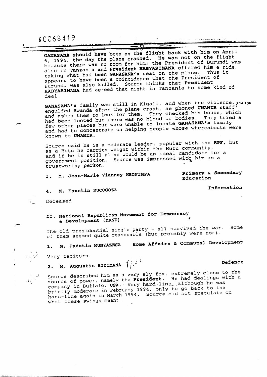KOC68419 , ...... " ................. "~"

| <u>in and the first of the state of the first of the component construction of the component of the construction of the construction of the construction of the construction of the construction of the construction of the cons</u> |                                                                                                                     |                                                                                                                                                                                                                                |  |
|--------------------------------------------------------------------------------------------------------------------------------------------------------------------------------------------------------------------------------------|---------------------------------------------------------------------------------------------------------------------|--------------------------------------------------------------------------------------------------------------------------------------------------------------------------------------------------------------------------------|--|
|                                                                                                                                                                                                                                      | and the contract of the contract of the contract of the contract of the contract of the contract of the contract of | the company's the company's second second second second second second second second second second second second second second second second second second second second second second second second second second second secon |  |
| <u> 1980 - Pierre Barbara, professor e</u>                                                                                                                                                                                           | <b>ANTISTIC</b>                                                                                                     |                                                                                                                                                                                                                                |  |
|                                                                                                                                                                                                                                      |                                                                                                                     |                                                                                                                                                                                                                                |  |

GANASANA should have been on the flight back with him on April 6, 1994, the day the plane crashed. He was not on the flight because there was no room £or him; the President of Burundi was also in Tanzania and President HABYARIMANA offered him a ride, taking what had been GANASANA's seat on the plane. Thus it appears to have been a coincidence that the President of Burundi was also killed. Source thinks that President Burundi was also killed. Source thinks that a some HABYARIMANA had agreed that night in Tanzania fo some kind of deal.

 $GANASANA's$  family was still in Kigali, and when  $T_{MIR}$  is  $f \in \mathbb{R}$ . engulfed Rwanda after the plane crash, he phoned Unamir staff and asked them to look for them. They checked his modes, which had been looted but there was no blood or bodies. They tried a few other places but were unable to locate GANASANA's family and had to concentrate on helping people whose whereabouts were known to UNAMIR.

Source said he is a moderate leader, popular with the RPF, but as a Hutu he carries weight within the Hutu community, and if he is still alive would be an ideal candidate for a government position. Source was impressed with him as a trustworthy person-

3 M. Jean-Marie Vianney MBONIMPA  $3<sub>1</sub>$ 

Primary & Secondary Education

Information

Defence

4. M. Faustin RUCOGOZA

Deceased

Il. National Republican Movement for Democracy & Development (MRND)

The old presidential single party - all survived the war. Some of them seemed quite reasonable (but probably were not).

M. Faustin MUNYAZESA Home Affairs & Communal Development

Very taciturn.

l° .. f

2. M. Augustin BIZIMANA  $\int_{-\infty}^{\infty}$ 

Source described him as a very sly fox, extremely close with source of power, namely the President. He had dealing was company in Buffalo, USA. Very hard-line, although he was briefly moderate in, February 1994, only to go be speculate hard-line again in Match 1994. Source did not speculate on what these swings meant.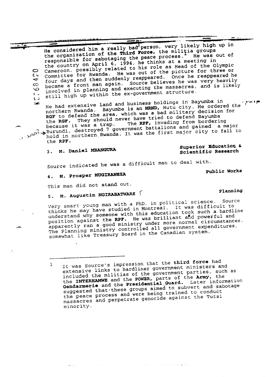.\_ ¯ .....~- -.~- ¯ ~ ~' .....~i~~~i ~iï~ '~~~ .... He considered him a really bad person, very likely high up in the organization of the Third Force, the militia groups<br>responsible for sabotaging the peace process. He was out of responsible for sabotaging the peace process. He was independent the country on April 6, 1994, he thinks as Head of the  $\mathcal{C}$ CO Cameroon, possibly related to his role as Head of three of three of three of three of the Olympic as  $\frac{1}{2}$  $\zeta$  committee for Rwanda. He was out of the picture is reappeared in four days and then suddenly reappeared. Once he reappeared he to four days and then suddenly reappeared. Once he reappeared four days and then again. Source believes he was very heavily became a fronc man eyern: concept acception of the mass interesting<br>to involved in planning and executing the massacres, and is likely still high up within the ex-government structure. د با<br>تعد

He had extensive land and business holdings in Bayumba in . – дана в <del>ум</del> northern Rwanda. Bayumba is an MRND, Hutu city. He ordered the ' RGF to defend the area, which was a bad military decision for the RGF. They should never have tried to defend Bayumba because it was a trap.<br>
destroyed 7 government battalions and gained a major S. because it was a trap. The RPF, invading from bordering<br>Burundi, destroyed 7 government battalions and gained a major<br>hold in northern Rwanda. It was the first major city to fall to  $\sim$   $\mu$ <sup>o</sup><sup>1</sup>,  $\mu$ <sub>bo</sub>ld in northern Rwanda. It was the first major city

the RPF.

### Superior Education & 3. M. Daniel MBANGURA scientific Research

Source indicated he was a difficult man to deal with...

4. M. Prosper MUGIRANEZA

This man did not stand out.

5. M. Augustin NGIRABATWARE 1<br>Very smart young man with a PhD. in political science. Source Very smart young man with a PHD. In political science difficult to understand why someone with this education took such a hardline thinks he may have studied in Montreal. It was such a hard position against the RPF. He was brilliant and powerful and enparently ran a good ministry under more more expenditures. somewhat like Treasury Board in the Canadian system. The Planning ministry controlled all government experients.

It was Source's impression that the third force had  $\mathbf{1}$ extensive links to hardliner government ministers and included the militias of the government parties, such as the INTERHAMWE and the POWER, parts of the Hamilton suggested that these groups aimed to subvert and sabotage Gendarmerie and the Presidential Later subvert and sabotag the peace process and were being trained to conduct massacres and perpetrate genocide against the Tutsi minority.

### Planning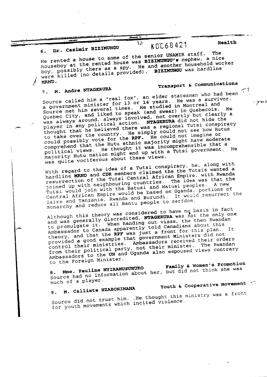6. Dr. Casimir BIZIMUNGU AUUDO421<br>He rented a house to some of the senior UNAMIR staff. The houseboy at the rented house was BIZINUNGU's nephew, a nice. boy, possibly there as a spy. He and another household worker were killed (no details provided). BIZIMUNGU was hardline MRND.

### 7. M. Andre NTAGEROP

/

Transport & communications

Source called  $\lim_{n \to \infty}$  for 13 or 14 years. He was a survived. source carred minister for 13 or 14 years. He was a survivor.<br>a government minister for 13 or 14 years. He was a survivor. Source met him several times. Ha studied in Montreal and Quebec City, and liked to speak (and swear) in Quebecois. was always around, always involved, not overtly but clearly a player in any political action. NTAGERURA did not hide the thought that he believed there was a regional Tutsi conspiracy to take over the country. He simply could not see how Hutus could possibly vote for the RPF. He could not imagine or could possibly vote for the RPF. He could not imagine or political views. He thought it was incomprehensible that a majority Hutu nation might end up with a Tutsi government. Ha was quite vociferous about these views.

With regard to the idea of a Tutsi conspiration the Tutsis wanted a hardline MRND and Contral African Empire, with the Tuts resurrection of the Tutsi Central African Empire, with Rwanda joined up with neighbouring countries. The idea was that the Tutsi would join with the Batusi and Watusi peoples. A new Central African Empire would be based on Uganda, portions of Laire and Tanzania, Rwanda and Burundi. It would resurrect the monarchy and reduce all Bantu people to serfdom.

Although this theory was considered to have no basis in fact and was generally discredited, NTAGERURA was not the only one to promulgate it. When handing out visas, the then Rwandan Ambassador to Canada apparently told Canadians about this was with the men handing out visas, the about this to P ........ ntl v ~old Canadians about this where the canada and the capacity, and that the RPF was just a front for this plan. It theory, and check government Millischer creating provided  $\alpha$  good example control their ministrles. Ambassadors received their orders from their political party, not their minister. The Rwandan Ambassadors fo the UN and Uganda also espoused views contrary to the Foreign Minister.

Family & Women's Promotion 8. Mme. Pauline Normation a source had no information about the manufacture her, but did not the was shell been was a shell be was a shell much of a player.<br>9. M. Callixte NZABONIMANA

9. M. Calliaco  $P^2$ 

Youth & Cooperative Movement (

source did not trust him. ...He thought  $\frac{1}{n}$  the free. for youth movements which increase

 $^{10}$  KDL68421 Health

- prio t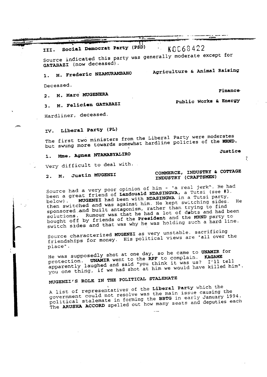III. Social Democrat Party (PSD)  $\sim$  KOC63422 Source indicated this party was generally moderate except for GATABAZI (now deceased). 1. M. Frederic NZAMURAMBAHO Agriculture & Animal Raising Deceased. 2. M. Marc MUGENERA 3. M. Felicien GATABAZI Hardliner, deceased. Finance Public Works & Energy IV. Liberal Party (PL) The first two ministers from the Liberal Party were moderates but swung more towards somewhat hardline policies of the MRND. 1. Mme. Agnes NTAMABYALIRO Very difficult to deal with. 2. M. Justin MUGENZI Justice COMMERCE, INDUSTRY & COTTAGE INDUSTRY (CRAFTSMEN) Source had a very poor opinion of him - "a real jerk". He had been a great friend of Landouald NDASINGWA, a Tutsi (see #3.<br>below). MUGENZI had been with NDASINGWA in a Tutsi party, below) **MUGENZI** had been with NDASINGWA in a Tutsing sides then switched and was against him. He kept switching to find He sponsored and built antagonism, rather than this and had solutions. Rumour was that he had a lot and the MRND party to bought off by friends of the President and the MRND party to switch sides and that was why he was holding such a hard line.

Source characterized MUGENZI as very unstable, sacrificing friendsh±ps for money. His political views are "all over the place"

 $\tau$ 

He was supposedly shot at one day, so he came to UNAMIR for protection. UNAMIR went to the RPF to complain. KAGAME apparently laughed and said "you think it was us? I'll tell you one thing, if we had shot at him we would have killed him".

## MUGENZI'S ROLE IN THE POLITICAL STALEMATE

A list of representatives of the Liberal Party which the government could not resolve was the main issue causing the political stalemate in forming the BBTG in early January 1994. The ARUSHA ACCORD spelled out how many seats and deputies each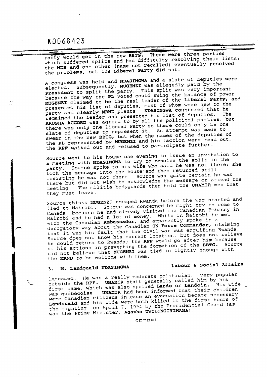### K0068423

LJ.

|  |  | party would get in the new BBTG. There were three parties       |  |  |
|--|--|-----------------------------------------------------------------|--|--|
|  |  |                                                                 |  |  |
|  |  | which suffered splits and had difficulty resolving their lists; |  |  |
|  |  | the MDR and one other (name not recalled) eventually resolved   |  |  |
|  |  |                                                                 |  |  |
|  |  | the problems, but the Liberal Party did not.                    |  |  |
|  |  |                                                                 |  |  |

A congress was held and NDASINGWA and a slate of deputies were elected. Subsequently, MUGENZI was allegedly paid by the President to split the party. This split was very important because the way the PL voted could swing the balance of power.<br>MUGENZI claimed to be the real leader of the Liberal Party, and presented his list of deputies, most of whom were new to the party and clearly MRND plants. NDASINGWA countered that he remained the leader and presented his list of deputies. The ARUSHA ACCORD was agreed to by all the political parties, but there was only one Liberal Party so there could only be one slate of deputies to represent it. An attempt was made to swear in the new BBTG, but when the names of the deputies of the PL represented by MUGENZI and his faction were read out, the RPF walked out and refused to participate further.

Source went to his house one evening to issue an invitation to a meeting with NDASINGWA to try to resolve the split in the party. Source spoke to his wife who said he was not there; she took the message into the house and then returned still insisting he was not there. Source was quite certain he was there but did not wish to acknowledge the message or attend the meeting. The militia bodyguards then told the UNAMIR men that they must leave.

Source thinks MUGENZI escaped Rwanda before the war started and fled to Nairobi. Source was concerned he might try to come to Canada, because he had already visited the Canadian Embassy in Nairobi and he had a lot of money. While in Nairobi he met with the Canadian Ambassador, and apparently spoke in a derogatory way about the Canadian UN Force Commander, claiming that it was his fault that the civil war was engulfing Rwanda. Source does not know his current location, but does not believe he could return to Rwanda; the RPF would go after him because of his actions in preventing the formation of the BBTG. Source<br>did not believe that MUGENZI was tied in tightly enough with the MRND to be welcome with them.

### M. Landouald NDASINGWA  $3.$

### Labour & Social Affairs

Deceased. He was a really moderate politician, very popular outside the RPF. UNAMIR staff generally called him by his first name, which was also spelled Lando or Landoin. His wife was québècoise. UNAMIR had been informed that their children were Canadian citizens in case an evacuation became necessary. Landouald and his wife were both killed in the first hours of<br>the fighting, on April 7, 1994 by the Presidential Guard (as<br>was the Prime Minister, Agathe UWILINGIYIMANA).

CEODET

للروائق وأعداد